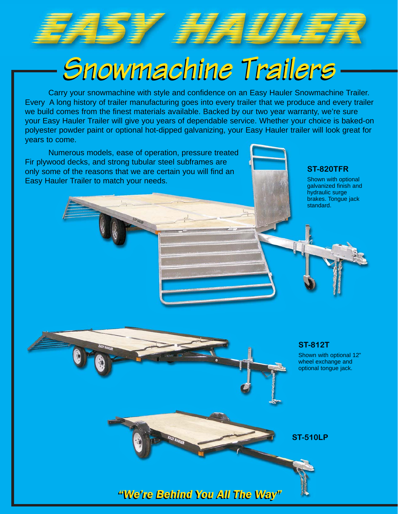

# *Snowmachine Trailers Snowmachine Trailers*

Carry your snowmachine with style and confidence on an Easy Hauler Snowmachine Trailer. Every A long history of trailer manufacturing goes into every trailer that we produce and every trailer we build comes from the finest materials available. Backed by our two year warranty, we're sure your Easy Hauler Trailer will give you years of dependable service. Whether your choice is baked-on polyester powder paint or optional hot-dipped galvanizing, your Easy Hauler trailer will look great for years to come.

Numerous models, ease of operation, pressure treated Fir plywood decks, and strong tubular steel subframes are only some of the reasons that we are certain you will find an Easy Hauler Trailer to match your needs.

### **ST-820TFR**

Shown with optional galvanized finish and hydraulic surge brakes. Tongue jack standard.